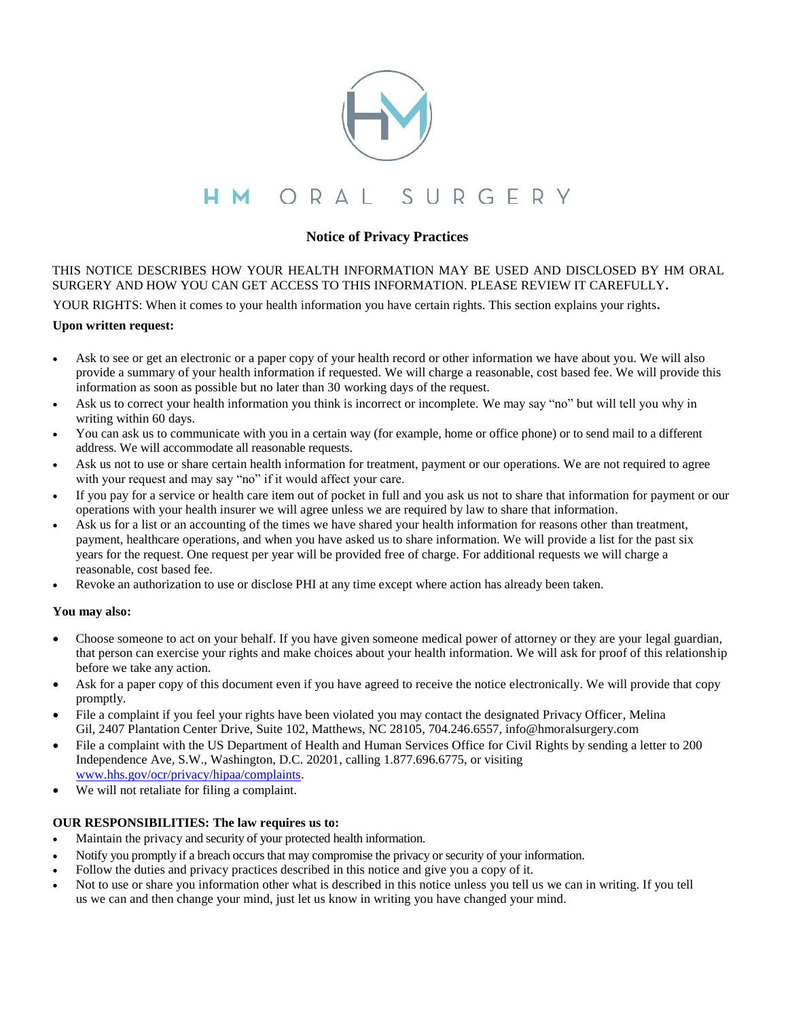

# **Notice of Privacy Practices**

THIS NOTICE DESCRIBES HOW YOUR HEALTH INFORMATION MAY BE USED AND DISCLOSED BY HM ORAL SURGERY AND HOW YOU CAN GET ACCESS TO THIS INFORMATION. PLEASE REVIEW IT CAREFULLY**.**

YOUR RIGHTS: When it comes to your health information you have certain rights. This section explains your rights**.**

#### **Upon written request:**

- Ask to see or get an electronic or a paper copy of your health record or other information we have about you. We will also provide a summary of your health information if requested. We will charge a reasonable, cost based fee. We will provide this information as soon as possible but no later than 30 working days of the request.
- Ask us to correct your health information you think is incorrect or incomplete. We may say "no" but will tell you why in writing within 60 days.
- You can ask us to communicate with you in a certain way (for example, home or office phone) or to send mail to a different address. We will accommodate all reasonable requests.
- Ask us not to use or share certain health information for treatment, payment or our operations. We are not required to agree with your request and may say "no" if it would affect your care.
- If you pay for a service or health care item out of pocket in full and you ask us not to share that information for payment or our operations with your health insurer we will agree unless we are required by law to share that information.
- Ask us for a list or an accounting of the times we have shared your health information for reasons other than treatment, payment, healthcare operations, and when you have asked us to share information. We will provide a list for the past six years for the request. One request per year will be provided free of charge. For additional requests we will charge a reasonable, cost based fee.
- Revoke an authorization to use or disclose PHI at any time except where action has already been taken.

## **You may also:**

- Choose someone to act on your behalf. If you have given someone medical power of attorney or they are your legal guardian, that person can exercise your rights and make choices about your health information. We will ask for proof of this relationship before we take any action.
- Ask for a paper copy of this document even if you have agreed to receive the notice electronically. We will provide that copy promptly.
- File a complaint if you feel your rights have been violated you may contact the designated Privacy Officer, Melina Gil, 2407 Plantation Center Drive, Suite 102, Matthews, NC 28105, 704.246.6557, info@hmoralsurgery.com
- File a complaint with the US Department of Health and Human Services Office for Civil Rights by sending a letter to 200 Independence Ave, S.W., Washington, D.C. 20201, calling 1.877.696.6775, or visiting [www.hhs.gov/ocr/privacy/hipaa/complaints.](http://www.hhs.gov/ocr/privacy/hipaa/complaints)
- We will not retaliate for filing a complaint.

#### **OUR RESPONSIBILITIES: The law requires us to:**

- Maintain the privacy and security of your protected health information.
- Notify you promptly if a breach occurs that may compromise the privacy or security of your information.
- Follow the duties and privacy practices described in this notice and give you a copy of it.
- Not to use or share you information other what is described in this notice unless you tell us we can in writing. If you tell us we can and then change your mind, just let us know in writing you have changed your mind.